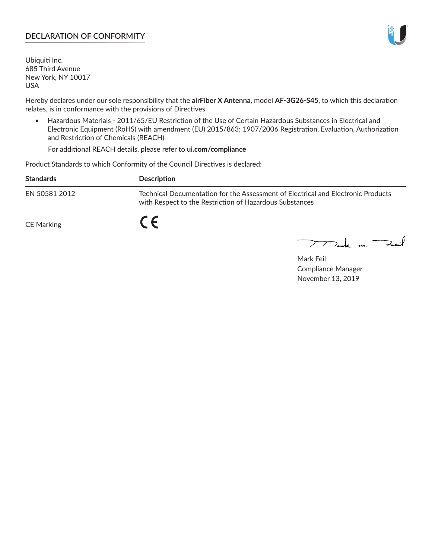## **DECLARATION OF CONFORMITY**

Ubiquiti Inc. 685 Third Avenue New York, NY 10017 USA

Hereby declares under our sole responsibility that the **airFiber X Antenna**, model **AF-3G26-S45**, to which this declaration relates, is in conformance with the provisions of Directives

• Hazardous Materials - 2011/65/EU Restriction of the Use of Certain Hazardous Substances in Electrical and Electronic Equipment (RoHS) with amendment (EU) 2015/863; 1907/2006 Registration, Evaluation, Authorization and Restriction of Chemicals (REACH)

For additional REACH details, please refer to **ui.com/compliance**

Product Standards to which Conformity of the Council Directives is declared:

| <b>Standards</b> | <b>Description</b>                                                                                                                          |
|------------------|---------------------------------------------------------------------------------------------------------------------------------------------|
| EN 50581 2012    | Technical Documentation for the Assessment of Electrical and Electronic Products<br>with Respect to the Restriction of Hazardous Substances |
| CE Marking       |                                                                                                                                             |

 $\sum_{n=1}^{\infty}$  un  $\sum_{n=1}^{\infty}$ 

Mark Feil Compliance Manager November 13, 2019

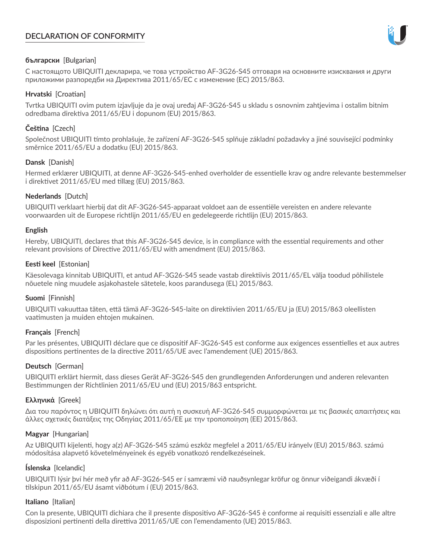# **DECLARATION OF CONFORMITY**



## **български** [Bulgarian]

С настоящото UBIQUITI декларира, че това устройство AF-3G26-S45 отговаря на основните изисквания и други приложими разпоредби на Директива 2011/65/ЕС с изменение (ЕС) 2015/863.

## **Hrvatski** [Croatian]

Tvrtka UBIQUITI ovim putem izjavljuje da je ovaj uređaj AF-3G26-S45 u skladu s osnovnim zahtjevima i ostalim bitnim odredbama direktiva 2011/65/EU i dopunom (EU) 2015/863.

# **Čeština** [Czech]

Společnost UBIQUITI tímto prohlašuje, že zařízení AF-3G26-S45 splňuje základní požadavky a jiné související podmínky směrnice 2011/65/EU a dodatku (EU) 2015/863.

### **Dansk** [Danish]

Hermed erklærer UBIQUITI, at denne AF-3G26-S45-enhed overholder de essentielle krav og andre relevante bestemmelser i direktivet 2011/65/EU med tillæg (EU) 2015/863.

### **Nederlands** [Dutch]

UBIQUITI verklaart hierbij dat dit AF-3G26-S45-apparaat voldoet aan de essentiële vereisten en andere relevante voorwaarden uit de Europese richtlijn 2011/65/EU en gedelegeerde richtlijn (EU) 2015/863.

#### **English**

Hereby, UBIQUITI, declares that this AF-3G26-S45 device, is in compliance with the essential requirements and other relevant provisions of Directive 2011/65/EU with amendment (EU) 2015/863.

### **Eesti keel** [Estonian]

Käesolevaga kinnitab UBIQUITI, et antud AF-3G26-S45 seade vastab direktiivis 2011/65/EL välja toodud põhilistele nõuetele ning muudele asjakohastele sätetele, koos parandusega (EL) 2015/863.

## **Suomi** [Finnish]

UBIQUITI vakuuttaa täten, että tämä AF-3G26-S45-laite on direktiivien 2011/65/EU ja (EU) 2015/863 oleellisten vaatimusten ja muiden ehtojen mukainen.

#### **Français** [French]

Par les présentes, UBIQUITI déclare que ce dispositif AF-3G26-S45 est conforme aux exigences essentielles et aux autres dispositions pertinentes de la directive 2011/65/UE avec l'amendement (UE) 2015/863.

## **Deutsch** [German]

UBIQUITI erklärt hiermit, dass dieses Gerät AF-3G26-S45 den grundlegenden Anforderungen und anderen relevanten Bestimmungen der Richtlinien 2011/65/EU und (EU) 2015/863 entspricht.

#### **Ελληνικά** [Greek]

Δια του παρόντος η UBIQUITI δηλώνει ότι αυτή η συσκευή AF-3G26-S45 συμμορφώνεται με τις βασικές απαιτήσεις και άλλες σχετικές διατάξεις της Οδηγίας 2011/65/ΕΕ με την τροποποίηση (ΕΕ) 2015/863.

#### **Magyar** [Hungarian]

Az UBIQUITI kijelenti, hogy a(z) AF-3G26-S45 számú eszköz megfelel a 2011/65/EU irányelv (EU) 2015/863. számú módosítása alapvető követelményeinek és egyéb vonatkozó rendelkezéseinek.

#### **Íslenska** [Icelandic]

UBIQUITI lýsir því hér með yfir að AF-3G26-S45 er í samræmi við nauðsynlegar kröfur og önnur viðeigandi ákvæði í tilskipun 2011/65/EU ásamt viðbótum í (EU) 2015/863.

#### **Italiano** [Italian]

Con la presente, UBIQUITI dichiara che il presente dispositivo AF-3G26-S45 è conforme ai requisiti essenziali e alle altre disposizioni pertinenti della direttiva 2011/65/UE con l'emendamento (UE) 2015/863.